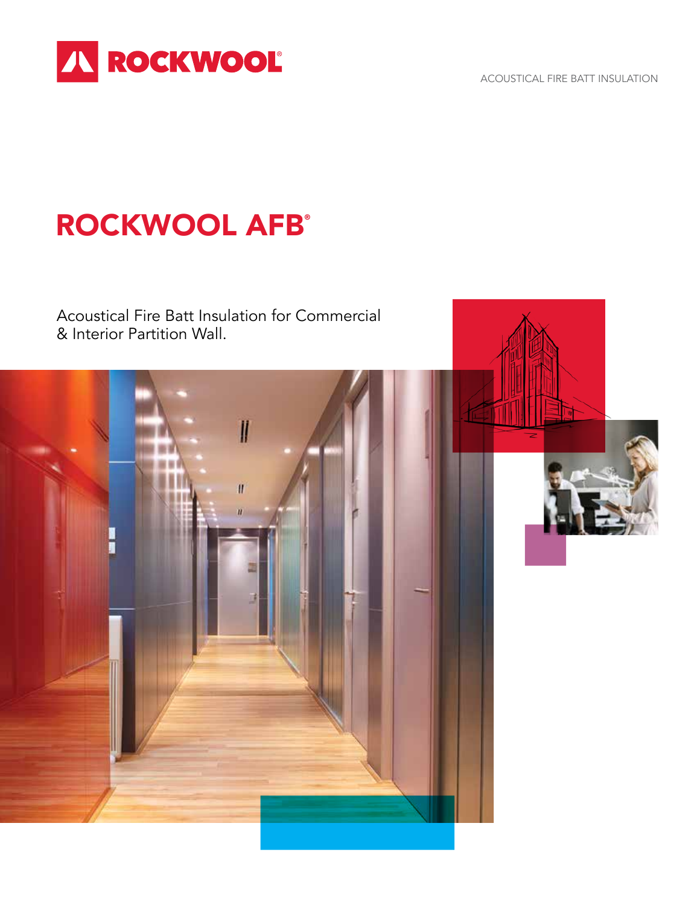

ACOUSTICAL FIRE BATT INSULATION

# **ROCKWOOL AFB®**

Acoustical Fire Batt Insulation for Commercial & Interior Partition Wall.



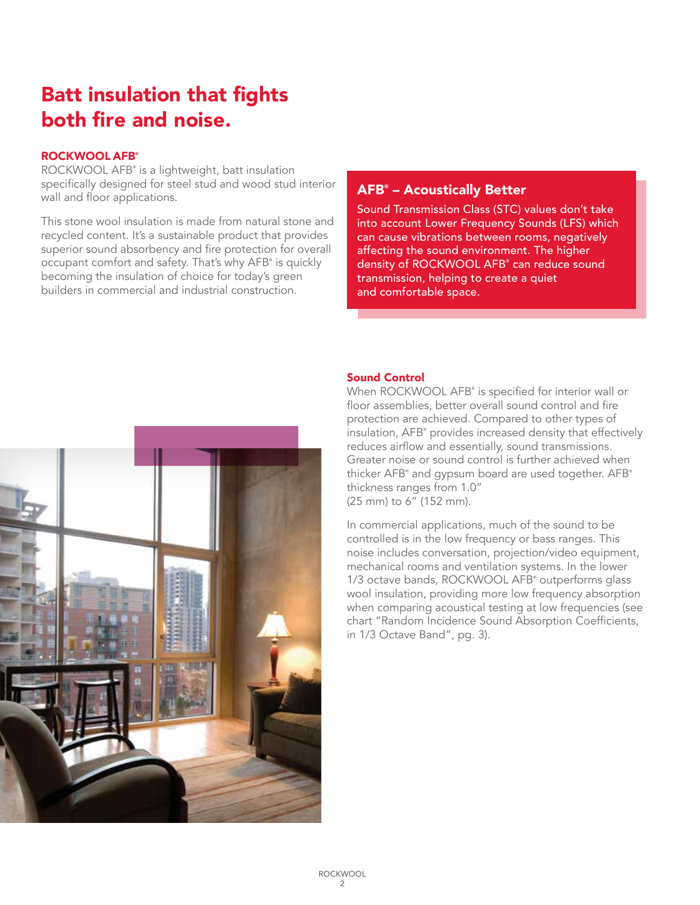## Batt insulation that fights both fire and noise.

## ROCKWOOL AFB<sup>®</sup>

ROCKWOOL AFB® is a lightweight, batt insulation specifically designed for steel stud and wood stud interior wall and floor applications.

This stone wool insulation is made from natural stone and recycled content. It's a sustainable product that provides superior sound absorbency and fire protection for overall occupant comfort and safety. That's why AFB® is quickly becoming the insulation of choice for today's green builders in commercial and industrial construction.

## AFB® – Acoustically Better

Sound Transmission Class (STC) values don't take into account Lower Frequency Sounds (LFS) which can cause vibrations between rooms, negatively affecting the sound environment. The higher density of ROCKWOOL AFB<sup>®</sup> can reduce sound transmission, helping to create a quiet and comfortable space.



## Sound Control

When ROCKWOOL AFB® is specified for interior wall or floor assemblies, better overall sound control and fire protection are achieved. Compared to other types of insulation, AFB® provides increased density that effectively reduces airflow and essentially, sound transmissions. Greater noise or sound control is further achieved when thicker AFB® and gypsum board are used together. AFB® thickness ranges from 1.0" (25 mm) to 6" (152 mm).

In commercial applications, much of the sound to be controlled is in the low frequency or bass ranges. This noise includes conversation, projection/video equipment, mechanical rooms and ventilation systems. In the lower 1/3 octave bands, ROCKWOOL AFB<sup>®</sup> outperforms glass wool insulation, providing more low frequency absorption when comparing acoustical testing at low frequencies (see chart "Random Incidence Sound Absorption Coefficients, in 1/3 Octave Band", pg. 3).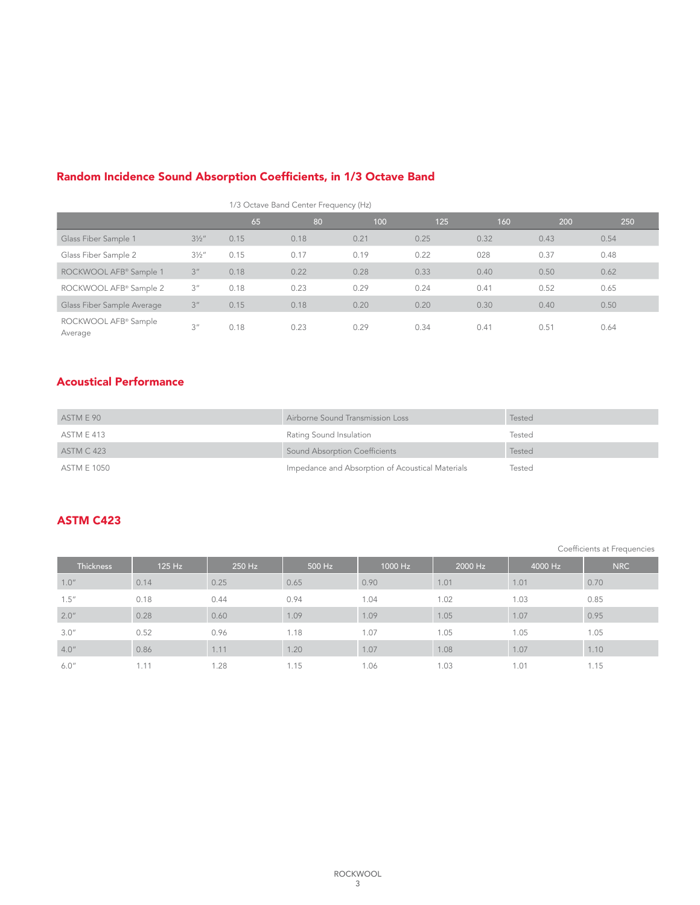|                                             |                  | 1/3 Octave Band Center Frequency (Hz) |      |      |      |      |      |      |
|---------------------------------------------|------------------|---------------------------------------|------|------|------|------|------|------|
|                                             |                  | 65                                    | 80   | 100  | 125  | 160  | 200  | 250  |
| Glass Fiber Sample 1                        | $3\frac{1}{2}$ " | 0.15                                  | 0.18 | 0.21 | 0.25 | 0.32 | 0.43 | 0.54 |
| Glass Fiber Sample 2                        | $3\frac{1}{2}$ " | 0.15                                  | 0.17 | 0.19 | 0.22 | 028  | 0.37 | 0.48 |
| ROCKWOOL AFB® Sample 1                      | 3 <sup>''</sup>  | 0.18                                  | 0.22 | 0.28 | 0.33 | 0.40 | 0.50 | 0.62 |
| ROCKWOOL AFB® Sample 2                      | 3''              | 0.18                                  | 0.23 | 0.29 | 0.24 | 0.41 | 0.52 | 0.65 |
| Glass Fiber Sample Average                  | 3 <sup>''</sup>  | 0.15                                  | 0.18 | 0.20 | 0.20 | 0.30 | 0.40 | 0.50 |
| ROCKWOOL AFB <sup>®</sup> Sample<br>Average | 3''              | 0.18                                  | 0.23 | 0.29 | 0.34 | 0.41 | 0.51 | 0.64 |

## Random Incidence Sound Absorption Coefficients, in 1/3 Octave Band

## Acoustical Performance

| ASTM E 90         | Airborne Sound Transmission Loss                 | Tested |
|-------------------|--------------------------------------------------|--------|
| ASTM E 413        | Rating Sound Insulation                          | Tested |
| <b>ASTM C 423</b> | Sound Absorption Coefficients                    | Tested |
| ASTM E 1050       | Impedance and Absorption of Acoustical Materials | Tested |

## ASTM C423

Coefficients at Frequencies

| <b>Thickness</b> | 125 Hz | 250 Hz | 500 Hz | 1000 Hz | 2000 Hz | 4000 Hz | <b>NRC</b> |
|------------------|--------|--------|--------|---------|---------|---------|------------|
| 1.0''            | 0.14   | 0.25   | 0.65   | 0.90    | 1.01    | 1.01    | 0.70       |
| 1.5''            | 0.18   | 0.44   | 0.94   | 1.04    | 1.02    | 1.03    | 0.85       |
| 2.0''            | 0.28   | 0.60   | 1.09   | 1.09    | 1.05    | 1.07    | 0.95       |
| 3.0''            | 0.52   | 0.96   | 1.18   | 1.07    | 1.05    | 1.05    | 1.05       |
| 4.0''            | 0.86   | 1.11   | 1.20   | 1.07    | 1.08    | 1.07    | 1.10       |
| 6.0''            | 1.11   | 1.28   | 1.15   | 1.06    | 1.03    | 1.01    | 1.15       |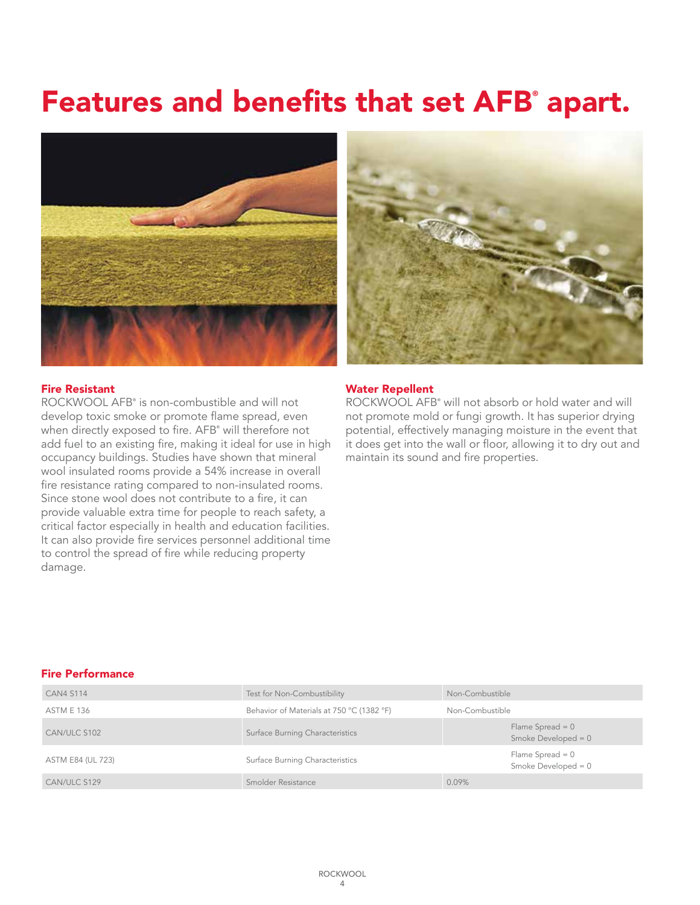# Features and benefits that set AFB° apart.





### Fire Resistant

ROCKWOOL AFB® is non-combustible and will not develop toxic smoke or promote flame spread, even when directly exposed to fire. AFB® will therefore not add fuel to an existing fire, making it ideal for use in high occupancy buildings. Studies have shown that mineral wool insulated rooms provide a 54% increase in overall fire resistance rating compared to non-insulated rooms. Since stone wool does not contribute to a fire, it can provide valuable extra time for people to reach safety, a critical factor especially in health and education facilities. It can also provide fire services personnel additional time to control the spread of fire while reducing property damage.

### Water Repellent

ROCKWOOL AFB® will not absorb or hold water and will not promote mold or fungi growth. It has superior drying potential, effectively managing moisture in the event that it does get into the wall or floor, allowing it to dry out and maintain its sound and fire properties.

### Fire Performance

| <b>CAN4 S114</b>  | Test for Non-Combustibility               | Non-Combustible                             |
|-------------------|-------------------------------------------|---------------------------------------------|
| <b>ASTM E 136</b> | Behavior of Materials at 750 °C (1382 °F) | Non-Combustible                             |
| CAN/ULC S102      | Surface Burning Characteristics           | Flame Spread = $0$<br>Smoke Developed = $0$ |
| ASTM E84 (UL 723) | Surface Burning Characteristics           | Flame Spread $= 0$<br>Smoke Developed = $0$ |
| CAN/ULC S129      | Smolder Resistance                        | 0.09%                                       |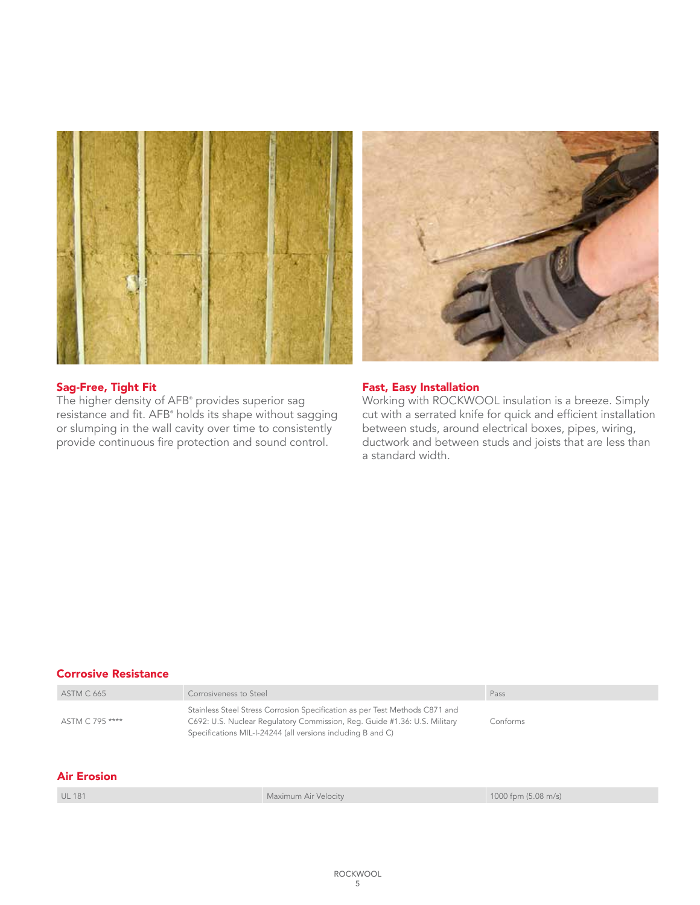

## Sag-Free, Tight Fit

The higher density of AFB® provides superior sag resistance and fit. AFB® holds its shape without sagging or slumping in the wall cavity over time to consistently provide continuous fire protection and sound control.

## Fast, Easy Installation

Working with ROCKWOOL insulation is a breeze. Simply cut with a serrated knife for quick and efficient installation between studs, around electrical boxes, pipes, wiring, ductwork and between studs and joists that are less than a standard width.

| Corrosive Resistance |                        |                                                                                                                                                                                                                         |                     |
|----------------------|------------------------|-------------------------------------------------------------------------------------------------------------------------------------------------------------------------------------------------------------------------|---------------------|
| <b>ASTM C 665</b>    | Corrosiveness to Steel |                                                                                                                                                                                                                         | Pass                |
| ASTM C 795 ****      |                        | Stainless Steel Stress Corrosion Specification as per Test Methods C871 and<br>C692: U.S. Nuclear Regulatory Commission, Reg. Guide #1.36: U.S. Military<br>Specifications MIL-I-24244 (all versions including B and C) | Conforms            |
| <b>Air Erosion</b>   |                        |                                                                                                                                                                                                                         |                     |
| <b>UL 181</b>        |                        | Maximum Air Velocity                                                                                                                                                                                                    | 1000 fpm (5.08 m/s) |
|                      |                        |                                                                                                                                                                                                                         |                     |

### Corrosive Resistance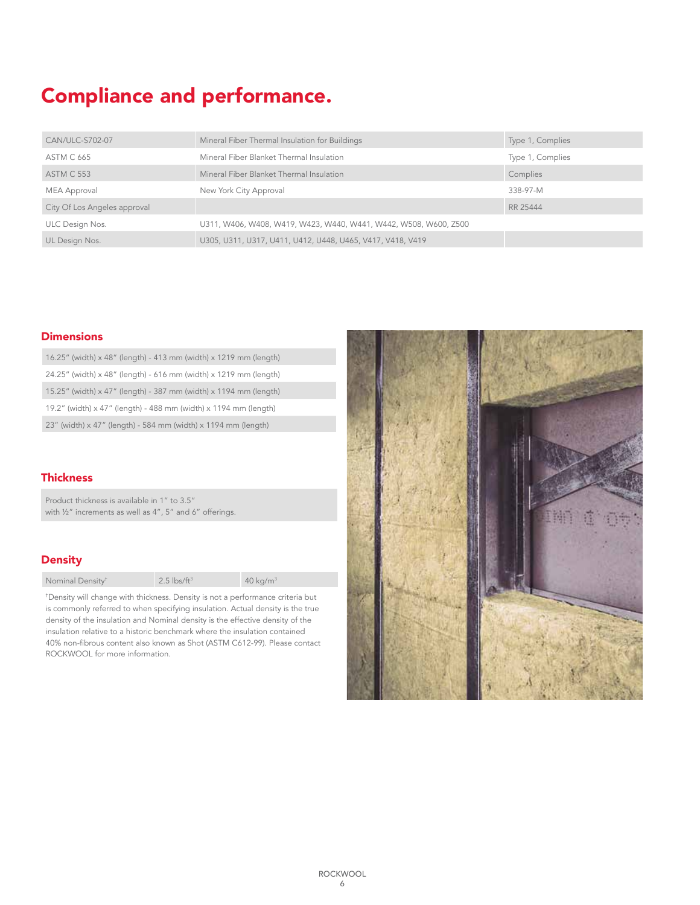## Compliance and performance.

| CAN/ULC-S702-07              | Mineral Fiber Thermal Insulation for Buildings                   | Type 1, Complies |
|------------------------------|------------------------------------------------------------------|------------------|
| <b>ASTM C 665</b>            | Mineral Fiber Blanket Thermal Insulation                         | Type 1, Complies |
| <b>ASTM C 553</b>            | Mineral Fiber Blanket Thermal Insulation                         | Complies         |
| MEA Approval                 | New York City Approval                                           | 338-97-M         |
| City Of Los Angeles approval |                                                                  | RR 25444         |
| ULC Design Nos.              | U311, W406, W408, W419, W423, W440, W441, W442, W508, W600, Z500 |                  |
| UL Design Nos.               | U305, U311, U317, U411, U412, U448, U465, V417, V418, V419       |                  |

## **Dimensions**

| 16.25" (width) $\times$ 48" (length) - 413 mm (width) $\times$ 1219 mm (length) |  |
|---------------------------------------------------------------------------------|--|
| 24.25" (width) x 48" (length) - 616 mm (width) x 1219 mm (length)               |  |
| 15.25" (width) x 47" (length) - 387 mm (width) x 1194 mm (length)               |  |
| 19.2" (width) x 47" (length) - 488 mm (width) x 1194 mm (length)                |  |
| 23" (width) x 47" (length) - 584 mm (width) x 1194 mm (length)                  |  |

## **Thickness**

Product thickness is available in 1" to 3.5" with 1/2" increments as well as 4", 5" and 6" offerings.

## **Density**

| $2.5$ lbs/ft <sup>3</sup><br>Nominal Density <sup>t</sup> | $40$ kg/m <sup>3</sup> |
|-----------------------------------------------------------|------------------------|
|-----------------------------------------------------------|------------------------|

† Density will change with thickness. Density is not a performance criteria but is commonly referred to when specifying insulation. Actual density is the true density of the insulation and Nominal density is the effective density of the insulation relative to a historic benchmark where the insulation contained 40% non-fibrous content also known as Shot (ASTM C612-99). Please contact ROCKWOOL for more information.

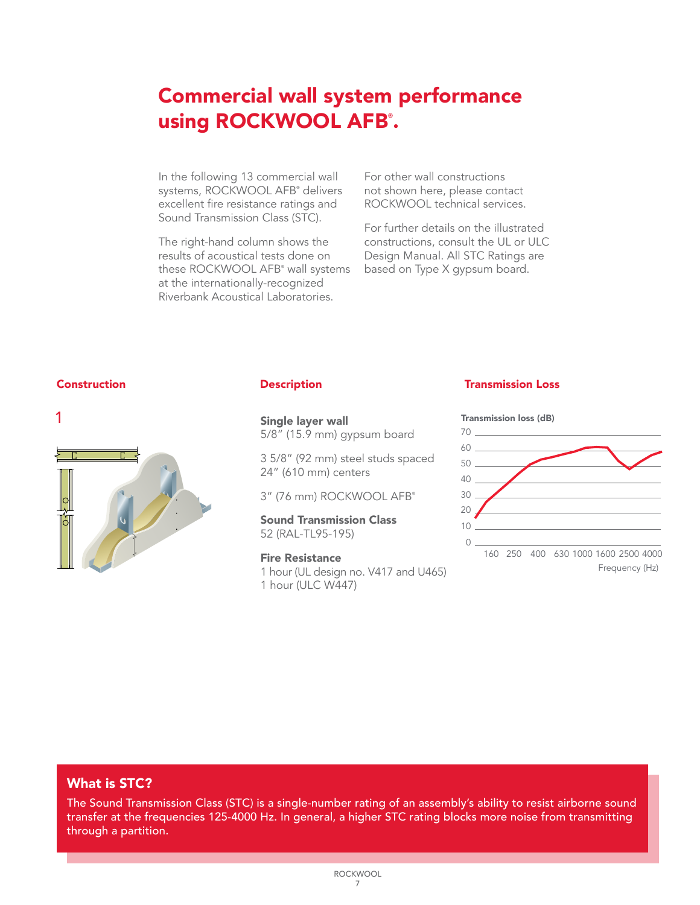## Commercial wall system performance using ROCKWOOL AFB°.

In the following 13 commercial wall systems, ROCKWOOL AFB® delivers excellent fire resistance ratings and Sound Transmission Class (STC).

The right-hand column shows the results of acoustical tests done on these ROCKWOOL AFB® wall systems at the internationally-recognized Riverbank Acoustical Laboratories.

For other wall constructions not shown here, please contact ROCKWOOL technical services.

For further details on the illustrated constructions, consult the UL or ULC Design Manual. All STC Ratings are based on Type X gypsum board.



Single layer wall 5/8" (15.9 mm) gypsum board

3 5/8" (92 mm) steel studs spaced 24" (610 mm) centers

3" (76 mm) ROCKWOOL AFB®

Sound Transmission Class 52 (RAL-TL95-195)

### Fire Resistance

1 hour (UL design no. V417 and U465) 1 hour (ULC W447)

## Construction Description Transmission Loss



## What is STC?

transfer at the frequencies 125-4000 Hz. In general, a higher STC rating blocks more noise from transmitting The Sound Transmission Class (STC) is a single-number rating of an assembly's ability to resist airborne sound through a partition.

30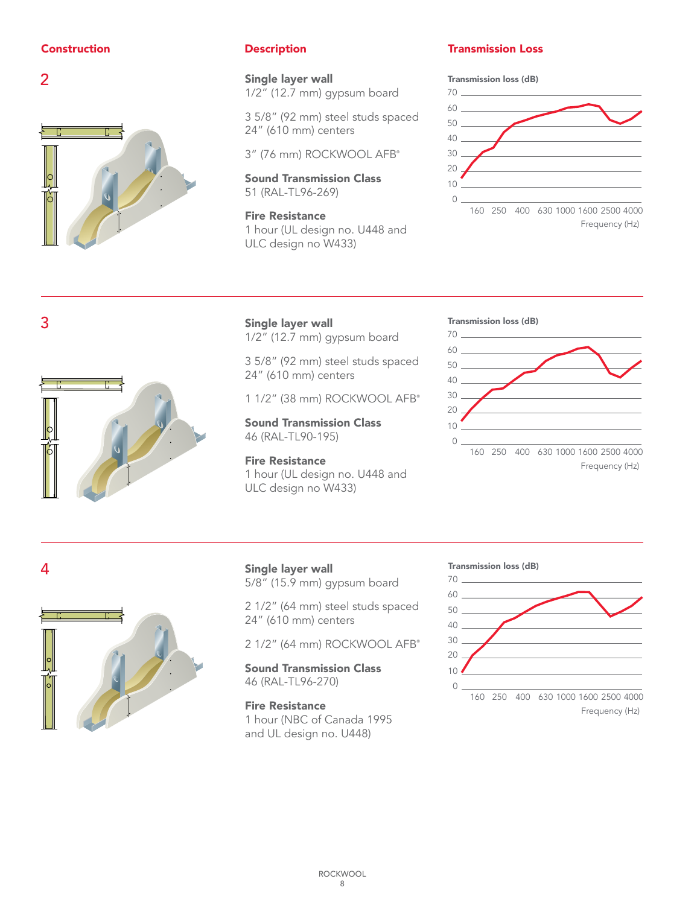



1/2" (12.7 mm) gypsum board

3 5/8" (92 mm) steel studs spaced 24" (610 mm) centers

3" (76 mm) ROCKWOOL AFB ®

Sound Transmission Class 51 (RAL-TL96-269)

Fire Resistance 1 hour (UL design no. U448 and ULC design no W433)

## **Construction Construction Construction Construction** Description **Transmission Loss**

## Transmission loss (dB)



Frequency (Hz)

Frequency (Hz)



3 Single layer wall 1/2" (12.7 mm) gypsum board

> 3 5/8" (92 mm) steel studs spaced 24" (610 mm) centers

1 1/2" (38 mm) ROCKWOOL AFB ®

Sound Transmission Class 46 (RAL-TL90-195)

Fire Resistance 1 hour (UL design no. U448 and ULC design no W433)

## Transmission loss (dB)

30

50





Single layer wall 5/8" (15.9 mm) gypsum board

2 1/2" (64 mm) steel studs spaced 24" (610 mm) centers

2 1/2" (64 mm) ROCKWOOL AFB ®

Sound Transmission Class 46 (RAL-TL96-270)

Fire Resistance 1 hour (NBC of Canada 1995 and UL design no. U448)

## Transmission loss (dB)

50



Frequency (Hz)

Frequency (Hz)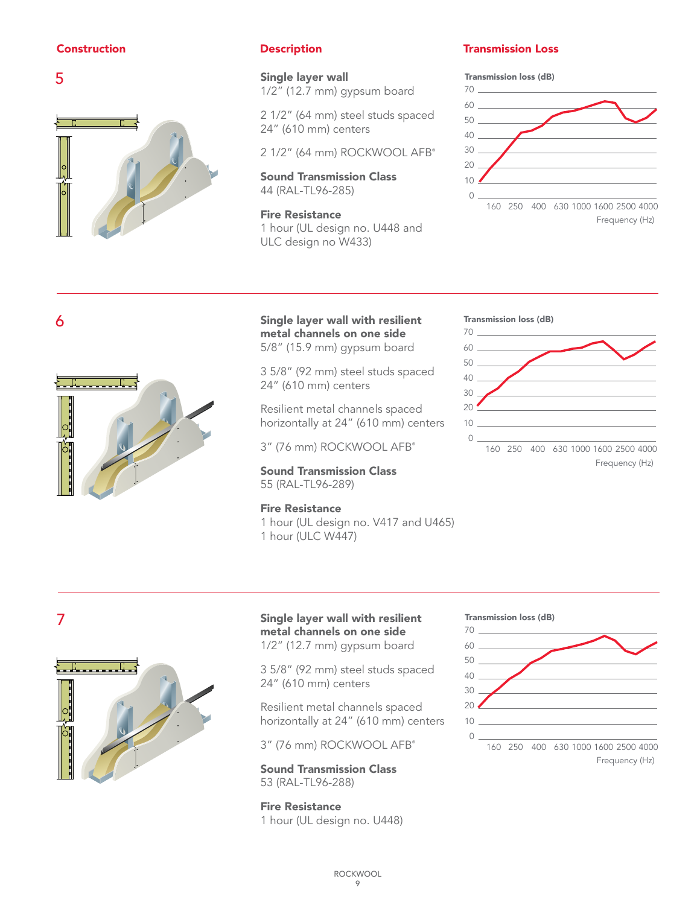



50

Single layer wall 1/2" (12.7 mm) gypsum board

> 2 1/2" (64 mm) steel studs spaced 24" (610 mm) centers

2 1/2" (64 mm) ROCKWOOL AFB®

Sound Transmission Class 44 (RAL-TL96-285)

Fire Resistance **1 hour (UL design no. U448 and** ULC design no W433)

## Construction Description Transmission Loss

## Transmission loss (dB)



6



Single layer wall with resilient metal channels on one side 5/8" (15.9 mm) gypsum board

Frequency (Hz)

 $24''$  (610 mm) centers  $\frac{1}{2}$ 3 5/8" (92 mm) steel studs spaced

horizontally at 24" (610 mm) centers Resilient metal channels spaced

3" (76 mm) ROCKWOOL AFB®

**Sound Transmission Class**  $T = \sqrt{1 + \frac{1}{2}}$ 55 (RAL-TL96-289)

## Fire Resistance

Transmission loss (dB)

10

1 hour (UL design no. V417 and U465) 1 hour (ULC W447)

Frequency (Hz)



50



Frequency (Hz)

Frequency (Hz)

7



Single layer wall with resilient metal channels on one side 1/2" (12.7 mm) gypsum board

3 5/8" (92 mm) steel studs spaced 24" (610 mm) centers

> horizontally at 24" (610 mm) centers Resilient metal channels spaced

Frequency (Hz) 3" (76 mm) ROCKWOOL AFB®

**Sound Transmission Class**  $\sum_{i=1}^{n}$ 53 (RAL-TL96-288)

> Fire Resistance 1 hour (UL design no. U448)



Transmission loss (dB)

10

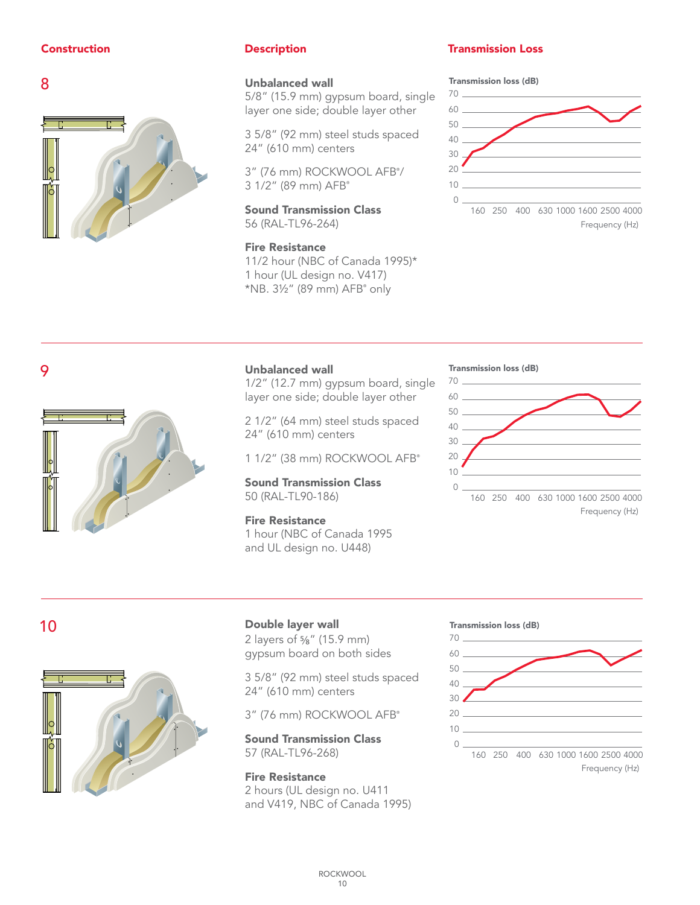



## Unbalanced wall

5/8" (15.9 mm) gypsum board, single layer one side; double layer other

3 5/8" (92 mm) steel studs spaced 24" (610 mm) centers

3" (76 mm) ROCKWOOL AFB® / 3 1/2" (89 mm) AFB®

Sound Transmission Class F) and the contract of  $\Gamma$ 56 (RAL-TL96-264)

## Fire Resistance

11/2 hour (NBC of Canada 1995)\* 1 hour (UL design no. V417) \*NB. 3½" (89 mm) AFB® only

## Construction Description Transmission Loss

Transmission loss (dB)



Frequency (Hz)

Frequency (Hz)



## Unbalanced wall

1/2" (12.7 mm) gypsum board, single layer one side; double layer other

2 1/2" (64 mm) steel studs spaced 24" (610 mm) centers

1 1/2" (38 mm) ROCKWOOL AFB®

50 (RAL-TL90-186) Sound Transmission Class

Tribut (NBC of Burlada) Fire Resistance 1 hour (NBC of Canada 1995

### Transmission loss (dB)



## $\overline{10}$

 $\blacksquare$ 

9



Frequency (Hz)

## Double layer wall

 $\overline{a}$ 

2 layers of 5/8" (15.9 mm) gypsum board on both sides

 $2504/00$ 3 5/8" (92 mm) steel studs spaced<br>0.1" (110 24" (610 mm) centers

Frequency (Hz)

3" (76 mm) ROCKWOOL AFB®

57 (RAL-TL96-268) Sound Transmission Class

and V419, NBC of Canada 1995) Fire Resistance 2 hours (UL design no. U411

## Transmission loss (dB)

 $\overline{a}$ 

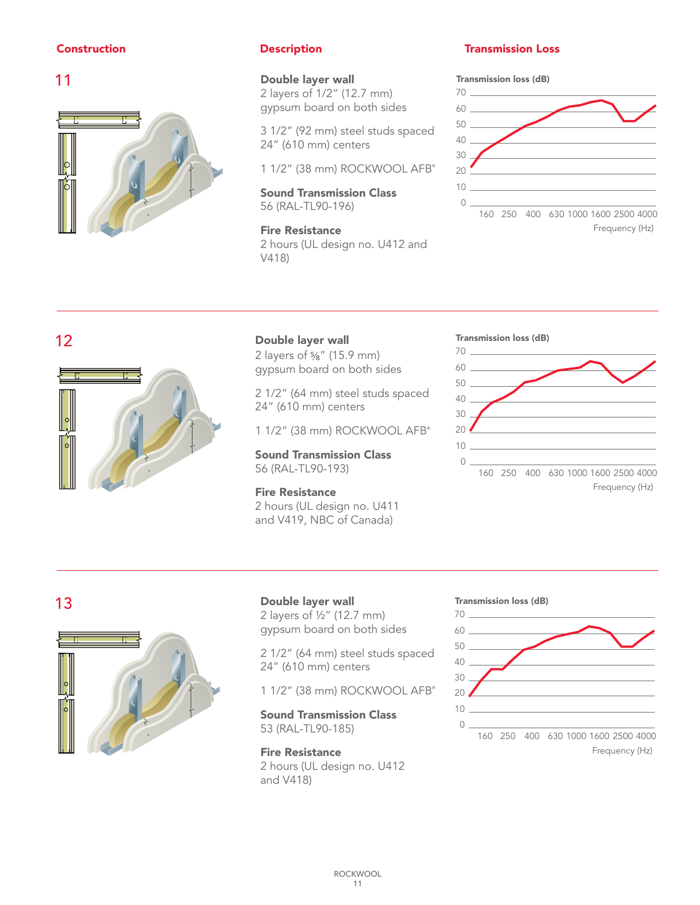## Construction

## 11



## Double layer wall

gypsum board on both sides 2 layers of 1/2" (12.7 mm)

> 3 1/2" (92 mm) steel studs spaced 24" (610 mm) centers

 $11/2$ " (38 mm) ROCKWOOL AFB

 $160$   $\sqrt{250}$ Sound Transmission Class 56 (RAL-TL90-196)

Frequency (Hz)  $V418$ Fire Resistance 2 hours (UL design no. U412 and

Frequency (Hz)

## **2018** Construction **Construction** Construction **Transmission** Loss

Transmission loss (dB)



Frequency (Hz)

Frequency (Hz)

## 12



Frequency (Hz)

## Double layer wall

2 layers of 5/8" (15.9 mm) gypsum board on both sides

2 1/2" (64 mm) steel studs spaced 24" (610 mm) centers

1 1/2" (38 mm) ROCKWOOL AFB®

56 (RAL-TL90-193) Sound Transmission Class

> Fire Resistance 2 hours (UL design no. U411 and V419, NBC of Canada)

## Transmission loss (dB)



## 13



Double layer wall 2 layers of ½" (12.7 mm) gypsum board on both sides

> 2 1/2" (64 mm) steel studs spaced 24" (610 mm) centers

> 1 1/2" (38 mm) ROCKWOOL AFB®

 $160 - 1600$ Sound Transmission Class 53 (RAL-TL90-185)

Frequency (Hz) and V418) Fire Resistance 2 hours (UL design no. U412

### Transmission loss (dB)